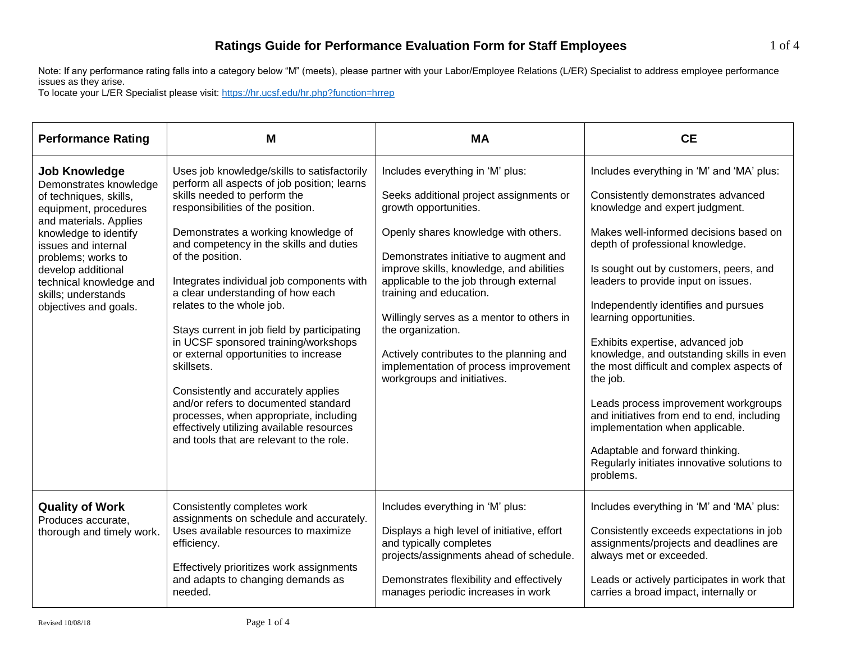Note: If any performance rating falls into a category below "M" (meets), please partner with your Labor/Employee Relations (L/ER) Specialist to address employee performance issues as they arise.

To locate your L/ER Specialist please visit[: https://hr.ucsf.edu/hr.php?function=hrrep](https://hr.ucsf.edu/hr.php?function=hrrep)

| <b>Performance Rating</b>                                                                                                                                                                                                                                                                          | M                                                                                                                                                                                                                                                                                                                                                                                                                                                                                                                                                                                                                                                                                                                                                    | <b>MA</b>                                                                                                                                                                                                                                                                                                                                                                                                                                                                                     | <b>CE</b>                                                                                                                                                                                                                                                                                                                                                                                                                                                                                                                                                                                                                                                                                                             |
|----------------------------------------------------------------------------------------------------------------------------------------------------------------------------------------------------------------------------------------------------------------------------------------------------|------------------------------------------------------------------------------------------------------------------------------------------------------------------------------------------------------------------------------------------------------------------------------------------------------------------------------------------------------------------------------------------------------------------------------------------------------------------------------------------------------------------------------------------------------------------------------------------------------------------------------------------------------------------------------------------------------------------------------------------------------|-----------------------------------------------------------------------------------------------------------------------------------------------------------------------------------------------------------------------------------------------------------------------------------------------------------------------------------------------------------------------------------------------------------------------------------------------------------------------------------------------|-----------------------------------------------------------------------------------------------------------------------------------------------------------------------------------------------------------------------------------------------------------------------------------------------------------------------------------------------------------------------------------------------------------------------------------------------------------------------------------------------------------------------------------------------------------------------------------------------------------------------------------------------------------------------------------------------------------------------|
| <b>Job Knowledge</b><br>Demonstrates knowledge<br>of techniques, skills,<br>equipment, procedures<br>and materials. Applies<br>knowledge to identify<br>issues and internal<br>problems; works to<br>develop additional<br>technical knowledge and<br>skills; understands<br>objectives and goals. | Uses job knowledge/skills to satisfactorily<br>perform all aspects of job position; learns<br>skills needed to perform the<br>responsibilities of the position.<br>Demonstrates a working knowledge of<br>and competency in the skills and duties<br>of the position.<br>Integrates individual job components with<br>a clear understanding of how each<br>relates to the whole job.<br>Stays current in job field by participating<br>in UCSF sponsored training/workshops<br>or external opportunities to increase<br>skillsets.<br>Consistently and accurately applies<br>and/or refers to documented standard<br>processes, when appropriate, including<br>effectively utilizing available resources<br>and tools that are relevant to the role. | Includes everything in 'M' plus:<br>Seeks additional project assignments or<br>growth opportunities.<br>Openly shares knowledge with others.<br>Demonstrates initiative to augment and<br>improve skills, knowledge, and abilities<br>applicable to the job through external<br>training and education.<br>Willingly serves as a mentor to others in<br>the organization.<br>Actively contributes to the planning and<br>implementation of process improvement<br>workgroups and initiatives. | Includes everything in 'M' and 'MA' plus:<br>Consistently demonstrates advanced<br>knowledge and expert judgment.<br>Makes well-informed decisions based on<br>depth of professional knowledge.<br>Is sought out by customers, peers, and<br>leaders to provide input on issues.<br>Independently identifies and pursues<br>learning opportunities.<br>Exhibits expertise, advanced job<br>knowledge, and outstanding skills in even<br>the most difficult and complex aspects of<br>the job.<br>Leads process improvement workgroups<br>and initiatives from end to end, including<br>implementation when applicable.<br>Adaptable and forward thinking.<br>Regularly initiates innovative solutions to<br>problems. |
| <b>Quality of Work</b><br>Produces accurate.<br>thorough and timely work.                                                                                                                                                                                                                          | Consistently completes work<br>assignments on schedule and accurately.<br>Uses available resources to maximize<br>efficiency.<br>Effectively prioritizes work assignments<br>and adapts to changing demands as<br>needed.                                                                                                                                                                                                                                                                                                                                                                                                                                                                                                                            | Includes everything in 'M' plus:<br>Displays a high level of initiative, effort<br>and typically completes<br>projects/assignments ahead of schedule.<br>Demonstrates flexibility and effectively<br>manages periodic increases in work                                                                                                                                                                                                                                                       | Includes everything in 'M' and 'MA' plus:<br>Consistently exceeds expectations in job<br>assignments/projects and deadlines are<br>always met or exceeded.<br>Leads or actively participates in work that<br>carries a broad impact, internally or                                                                                                                                                                                                                                                                                                                                                                                                                                                                    |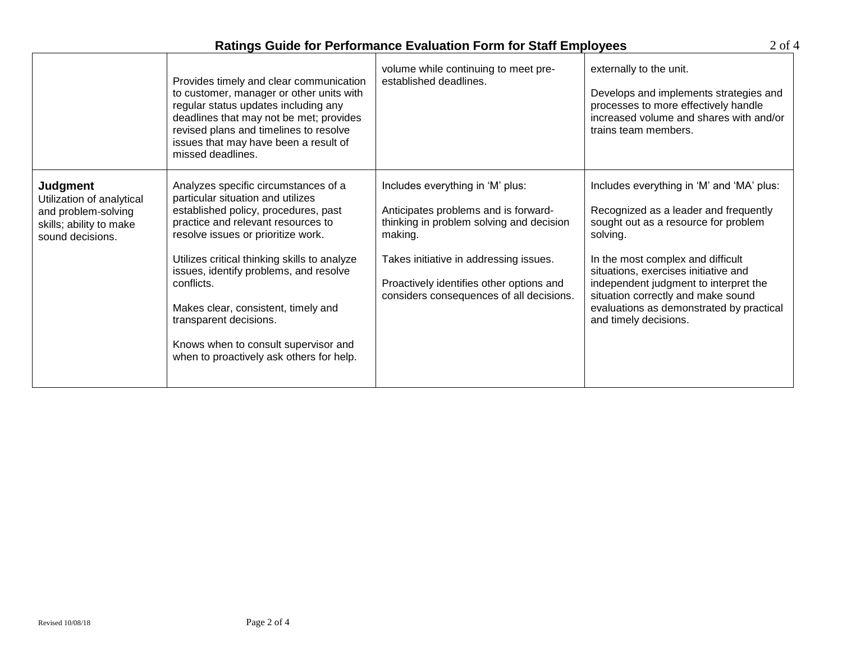| <b>Ratings Guide for Performance Evaluation Form for Staff Employees</b> |  |
|--------------------------------------------------------------------------|--|
|--------------------------------------------------------------------------|--|

 $2 \underline{\text{of}} 4$ 

|                                                                                                                    | Provides timely and clear communication<br>to customer, manager or other units with<br>regular status updates including any<br>deadlines that may not be met; provides<br>revised plans and timelines to resolve<br>issues that may have been a result of<br>missed deadlines.                                                                                                                                                                             | volume while continuing to meet pre-<br>established deadlines.                                                                                                                                                                                                    | externally to the unit.<br>Develops and implements strategies and<br>processes to more effectively handle<br>increased volume and shares with and/or<br>trains team members.                                                                                                                                                                                            |
|--------------------------------------------------------------------------------------------------------------------|------------------------------------------------------------------------------------------------------------------------------------------------------------------------------------------------------------------------------------------------------------------------------------------------------------------------------------------------------------------------------------------------------------------------------------------------------------|-------------------------------------------------------------------------------------------------------------------------------------------------------------------------------------------------------------------------------------------------------------------|-------------------------------------------------------------------------------------------------------------------------------------------------------------------------------------------------------------------------------------------------------------------------------------------------------------------------------------------------------------------------|
| <b>Judgment</b><br>Utilization of analytical<br>and problem-solving<br>skills; ability to make<br>sound decisions. | Analyzes specific circumstances of a<br>particular situation and utilizes<br>established policy, procedures, past<br>practice and relevant resources to<br>resolve issues or prioritize work.<br>Utilizes critical thinking skills to analyze<br>issues, identify problems, and resolve<br>conflicts.<br>Makes clear, consistent, timely and<br>transparent decisions.<br>Knows when to consult supervisor and<br>when to proactively ask others for help. | Includes everything in 'M' plus:<br>Anticipates problems and is forward-<br>thinking in problem solving and decision<br>making.<br>Takes initiative in addressing issues.<br>Proactively identifies other options and<br>considers consequences of all decisions. | Includes everything in 'M' and 'MA' plus:<br>Recognized as a leader and frequently<br>sought out as a resource for problem<br>solving.<br>In the most complex and difficult<br>situations, exercises initiative and<br>independent judgment to interpret the<br>situation correctly and make sound<br>evaluations as demonstrated by practical<br>and timely decisions. |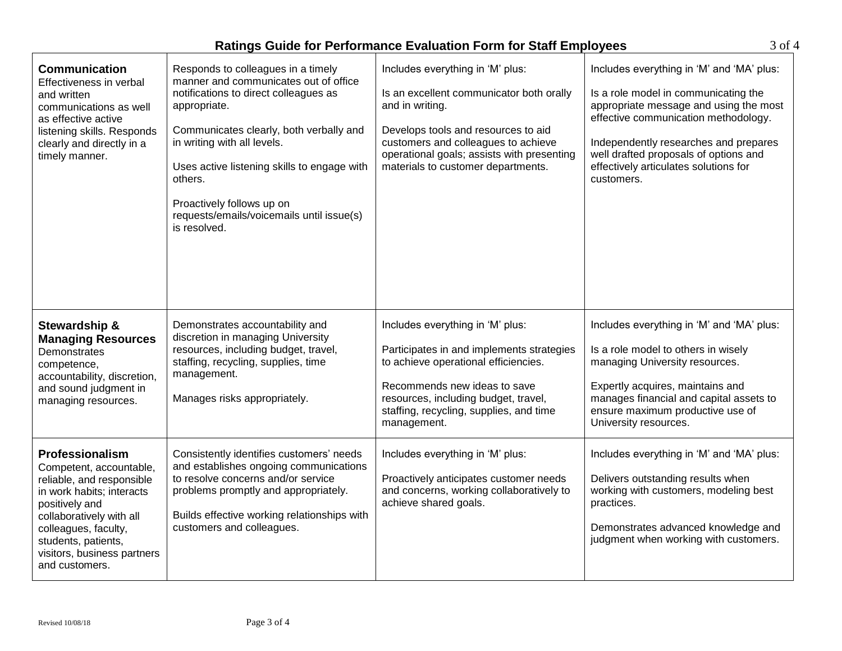| <b>Ratings Guide for Performance Evaluation Form for Staff Employees</b> |  |  |
|--------------------------------------------------------------------------|--|--|
|--------------------------------------------------------------------------|--|--|

3 of 4

| <b>Communication</b><br>Effectiveness in verbal<br>and written<br>communications as well<br>as effective active<br>listening skills. Responds<br>clearly and directly in a<br>timely manner.                                                       | Responds to colleagues in a timely<br>manner and communicates out of office<br>notifications to direct colleagues as<br>appropriate.<br>Communicates clearly, both verbally and<br>in writing with all levels.<br>Uses active listening skills to engage with<br>others.<br>Proactively follows up on<br>requests/emails/voicemails until issue(s)<br>is resolved. | Includes everything in 'M' plus:<br>Is an excellent communicator both orally<br>and in writing.<br>Develops tools and resources to aid<br>customers and colleagues to achieve<br>operational goals; assists with presenting<br>materials to customer departments. | Includes everything in 'M' and 'MA' plus:<br>Is a role model in communicating the<br>appropriate message and using the most<br>effective communication methodology.<br>Independently researches and prepares<br>well drafted proposals of options and<br>effectively articulates solutions for<br>customers. |
|----------------------------------------------------------------------------------------------------------------------------------------------------------------------------------------------------------------------------------------------------|--------------------------------------------------------------------------------------------------------------------------------------------------------------------------------------------------------------------------------------------------------------------------------------------------------------------------------------------------------------------|-------------------------------------------------------------------------------------------------------------------------------------------------------------------------------------------------------------------------------------------------------------------|--------------------------------------------------------------------------------------------------------------------------------------------------------------------------------------------------------------------------------------------------------------------------------------------------------------|
| Stewardship &<br><b>Managing Resources</b><br>Demonstrates<br>competence,<br>accountability, discretion,<br>and sound judgment in<br>managing resources.                                                                                           | Demonstrates accountability and<br>discretion in managing University<br>resources, including budget, travel,<br>staffing, recycling, supplies, time<br>management.<br>Manages risks appropriately.                                                                                                                                                                 | Includes everything in 'M' plus:<br>Participates in and implements strategies<br>to achieve operational efficiencies.<br>Recommends new ideas to save<br>resources, including budget, travel,<br>staffing, recycling, supplies, and time<br>management.           | Includes everything in 'M' and 'MA' plus:<br>Is a role model to others in wisely<br>managing University resources.<br>Expertly acquires, maintains and<br>manages financial and capital assets to<br>ensure maximum productive use of<br>University resources.                                               |
| Professionalism<br>Competent, accountable,<br>reliable, and responsible<br>in work habits; interacts<br>positively and<br>collaboratively with all<br>colleagues, faculty,<br>students, patients,<br>visitors, business partners<br>and customers. | Consistently identifies customers' needs<br>and establishes ongoing communications<br>to resolve concerns and/or service<br>problems promptly and appropriately.<br>Builds effective working relationships with<br>customers and colleagues.                                                                                                                       | Includes everything in 'M' plus:<br>Proactively anticipates customer needs<br>and concerns, working collaboratively to<br>achieve shared goals.                                                                                                                   | Includes everything in 'M' and 'MA' plus:<br>Delivers outstanding results when<br>working with customers, modeling best<br>practices.<br>Demonstrates advanced knowledge and<br>judgment when working with customers.                                                                                        |